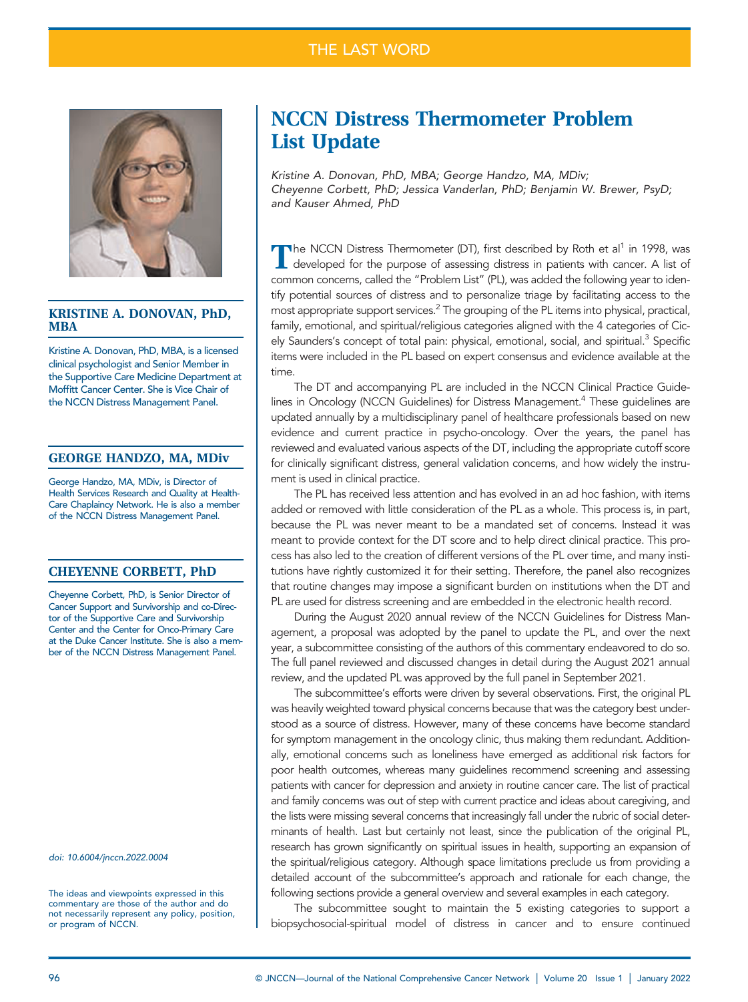## THE LAST WORD



### KRISTINE A. DONOVAN, PhD, MBA

Kristine A. Donovan, PhD, MBA, is a licensed clinical psychologist and Senior Member in the Supportive Care Medicine Department at Moffitt Cancer Center. She is Vice Chair of the NCCN Distress Management Panel.

### GEORGE HANDZO, MA, MDiv

George Handzo, MA, MDiv, is Director of Health Services Research and Quality at Health-Care Chaplaincy Network. He is also a member of the NCCN Distress Management Panel.

### CHEYENNE CORBETT, PhD

Cheyenne Corbett, PhD, is Senior Director of Cancer Support and Survivorship and co-Director of the Supportive Care and Survivorship Center and the Center for Onco-Primary Care at the Duke Cancer Institute. She is also a member of the NCCN Distress Management Panel.

doi: [10.6004/jnccn.2022.0004](https://doi.org/10.6004/jnccn.2022.0004)

The ideas and viewpoints expressed in this commentary are those of the author and do not necessarily represent any policy, position, or program of NCCN.

# NCCN Distress Thermometer Problem List Update

Kristine A. Donovan, PhD, MBA; George Handzo, MA, MDiv; Cheyenne Corbett, PhD; Jessica Vanderlan, PhD; Benjamin W. Brewer, PsyD; and Kauser Ahmed, PhD

The NCCN Distress Thermometer (DT), first described by Roth et al<sup>1</sup> in 1998, was developed for the purpose of assessing distress in patients with cancer. A list of common concerns, called the "Problem List" (PL), was added the following year to identify potential sources of distress and to personalize triage by facilitating access to the most appropriate support services.<sup>2</sup> The grouping of the PL items into physical, practical, family, emotional, and spiritual/religious categories aligned with the 4 categories of Cicely Saunders's concept of total pain: physical, emotional, social, and spiritual.<sup>3</sup> Specific items were included in the PL based on expert consensus and evidence available at the time.

The DT and accompanying PL are included in the NCCN Clinical Practice Guidelines in Oncology (NCCN Guidelines) for Distress Management.<sup>4</sup> These guidelines are updated annually by a multidisciplinary panel of healthcare professionals based on new evidence and current practice in psycho-oncology. Over the years, the panel has reviewed and evaluated various aspects of the DT, including the appropriate cutoff score for clinically significant distress, general validation concerns, and how widely the instrument is used in clinical practice.

The PL has received less attention and has evolved in an ad hoc fashion, with items added or removed with little consideration of the PL as a whole. This process is, in part, because the PL was never meant to be a mandated set of concerns. Instead it was meant to provide context for the DT score and to help direct clinical practice. This process has also led to the creation of different versions of the PL over time, and many institutions have rightly customized it for their setting. Therefore, the panel also recognizes that routine changes may impose a significant burden on institutions when the DT and PL are used for distress screening and are embedded in the electronic health record.

During the August 2020 annual review of the NCCN Guidelines for Distress Management, a proposal was adopted by the panel to update the PL, and over the next year, a subcommittee consisting of the authors of this commentary endeavored to do so. The full panel reviewed and discussed changes in detail during the August 2021 annual review, and the updated PL was approved by the full panel in September 2021.

The subcommittee's efforts were driven by several observations. First, the original PL was heavily weighted toward physical concerns because that was the category best understood as a source of distress. However, many of these concerns have become standard for symptom management in the oncology clinic, thus making them redundant. Additionally, emotional concerns such as loneliness have emerged as additional risk factors for poor health outcomes, whereas many guidelines recommend screening and assessing patients with cancer for depression and anxiety in routine cancer care. The list of practical and family concerns was out of step with current practice and ideas about caregiving, and the lists were missing several concerns that increasingly fall under the rubric of social determinants of health. Last but certainly not least, since the publication of the original PL, research has grown significantly on spiritual issues in health, supporting an expansion of the spiritual/religious category. Although space limitations preclude us from providing a detailed account of the subcommittee's approach and rationale for each change, the following sections provide a general overview and several examples in each category.

The subcommittee sought to maintain the 5 existing categories to support a biopsychosocial-spiritual model of distress in cancer and to ensure continued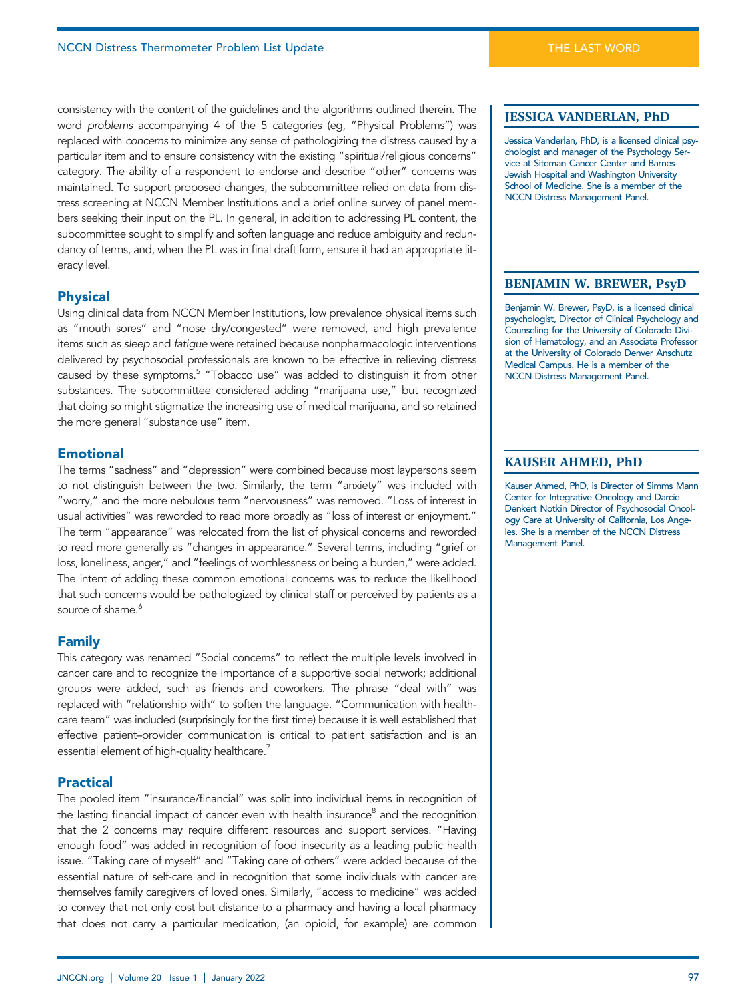consistency with the content of the guidelines and the algorithms outlined therein. The word problems accompanying 4 of the 5 categories (eg, "Physical Problems") was replaced with concerns to minimize any sense of pathologizing the distress caused by a particular item and to ensure consistency with the existing "spiritual/religious concerns" category. The ability of a respondent to endorse and describe "other" concerns was maintained. To support proposed changes, the subcommittee relied on data from distress screening at NCCN Member Institutions and a brief online survey of panel members seeking their input on the PL. In general, in addition to addressing PL content, the subcommittee sought to simplify and soften language and reduce ambiguity and redundancy of terms, and, when the PL was in final draft form, ensure it had an appropriate literacy level.

### **Physical**

Physical data from NCCN Member Institutions, low prevalence physical items such as "mouth sores" and "nose dry/congested" were removed, and high prevalence items such as sleep and fatigue were retained because nonpharmacologic interventions delivered by psychosocial professionals are known to be effective in relieving distress caused by these symptoms.<sup>5</sup> "Tobacco use" was added to distinguish it from other substances. The subcommittee considered adding "marijuana use," but recognized that doing so might stigmatize the increasing use of medical marijuana, and so retained the more general "substance use" item.

### **Emotional**

The terms "sadness" and "depression" were combined because most laypersons seem to not distinguish between the two. Similarly, the term "anxiety" was included with "worry," and the more nebulous term "nervousness" was removed. "Loss of interest in usual activities" was reworded to read more broadly as "loss of interest or enjoyment." The term "appearance" was relocated from the list of physical concerns and reworded to read more generally as "changes in appearance." Several terms, including "grief or loss, loneliness, anger," and "feelings of worthlessness or being a burden," were added. The intent of adding these common emotional concerns was to reduce the likelihood that such concerns would be pathologized by clinical staff or perceived by patients as a source of shame.<sup>6</sup>

- -------**--**<br>This category was renamed "Social concerns" to reflect the multiple levels involved in cancer care and to recognize the importance of a supportive social network; additional groups were added, such as friends and coworkers. The phrase "deal with" was replaced with "relationship with" to soften the language. "Communication with healthcare team" was included (surprisingly for the first time) because it is well established that effective patient–provider communication is critical to patient satisfaction and is an essential element of high-quality healthcare.<sup>7</sup>

### **Practical**

-----------<br>The pooled item "insurance/financial" was split into individual items in recognition of the lasting financial impact of cancer even with health insurance<sup>8</sup> and the recognition that the 2 concerns may require different resources and support services. "Having enough food" was added in recognition of food insecurity as a leading public health issue. "Taking care of myself" and "Taking care of others" were added because of the essential nature of self-care and in recognition that some individuals with cancer are themselves family caregivers of loved ones. Similarly, "access to medicine" was added to convey that not only cost but distance to a pharmacy and having a local pharmacy that does not carry a particular medication, (an opioid, for example) are common

### JESSICA VANDERLAN, PhD

Jessica Vanderlan, PhD, is a licensed clinical psychologist and manager of the Psychology Service at Siteman Cancer Center and Barnes-Jewish Hospital and Washington University School of Medicine. She is a member of the NCCN Distress Management Panel.

### BENJAMIN W. BREWER, PsyD

Benjamin W. Brewer, PsyD, is a licensed clinical psychologist, Director of Clinical Psychology and Counseling for the University of Colorado Division of Hematology, and an Associate Professor at the University of Colorado Denver Anschutz Medical Campus. He is a member of the NCCN Distress Management Panel.

### KAUSER AHMED, PhD

Kauser Ahmed, PhD, is Director of Simms Mann Center for Integrative Oncology and Darcie Denkert Notkin Director of Psychosocial Oncology Care at University of California, Los Angeles. She is a member of the NCCN Distress Management Panel.